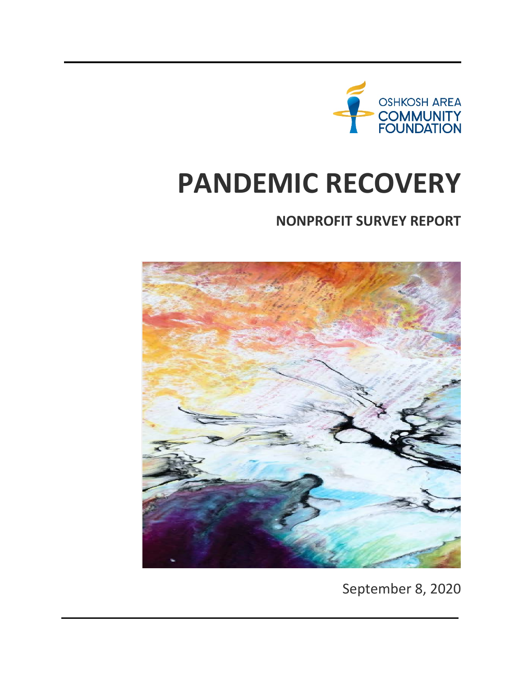

# **PANDEMIC RECOVERY**

# **NONPROFIT SURVEY REPORT**



September 8, 2020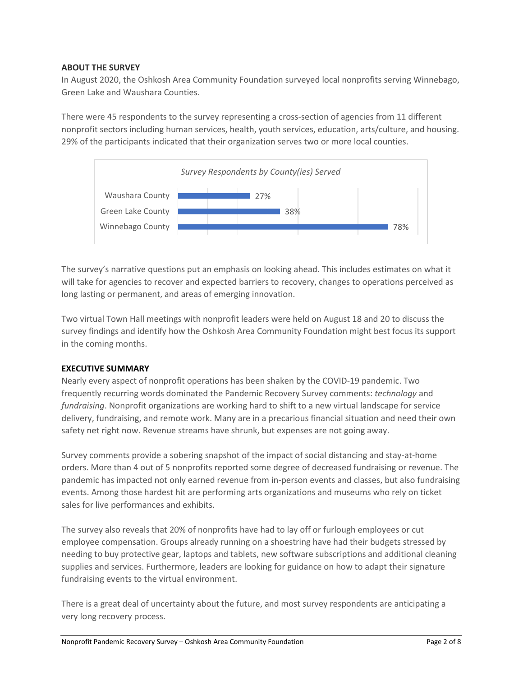# **ABOUT THE SURVEY**

In August 2020, the Oshkosh Area Community Foundation surveyed local nonprofits serving Winnebago, Green Lake and Waushara Counties.

There were 45 respondents to the survey representing a cross-section of agencies from 11 different nonprofit sectors including human services, health, youth services, education, arts/culture, and housing. 29% of the participants indicated that their organization serves two or more local counties.



The survey's narrative questions put an emphasis on looking ahead. This includes estimates on what it will take for agencies to recover and expected barriers to recovery, changes to operations perceived as long lasting or permanent, and areas of emerging innovation.

Two virtual Town Hall meetings with nonprofit leaders were held on August 18 and 20 to discuss the survey findings and identify how the Oshkosh Area Community Foundation might best focus its support in the coming months.

#### **EXECUTIVE SUMMARY**

Nearly every aspect of nonprofit operations has been shaken by the COVID-19 pandemic. Two frequently recurring words dominated the Pandemic Recovery Survey comments: *technology* and *fundraising*. Nonprofit organizations are working hard to shift to a new virtual landscape for service delivery, fundraising, and remote work. Many are in a precarious financial situation and need their own safety net right now. Revenue streams have shrunk, but expenses are not going away.

Survey comments provide a sobering snapshot of the impact of social distancing and stay-at-home orders. More than 4 out of 5 nonprofits reported some degree of decreased fundraising or revenue. The pandemic has impacted not only earned revenue from in-person events and classes, but also fundraising events. Among those hardest hit are performing arts organizations and museums who rely on ticket sales for live performances and exhibits.

The survey also reveals that 20% of nonprofits have had to lay off or furlough employees or cut employee compensation. Groups already running on a shoestring have had their budgets stressed by needing to buy protective gear, laptops and tablets, new software subscriptions and additional cleaning supplies and services. Furthermore, leaders are looking for guidance on how to adapt their signature fundraising events to the virtual environment.

There is a great deal of uncertainty about the future, and most survey respondents are anticipating a very long recovery process.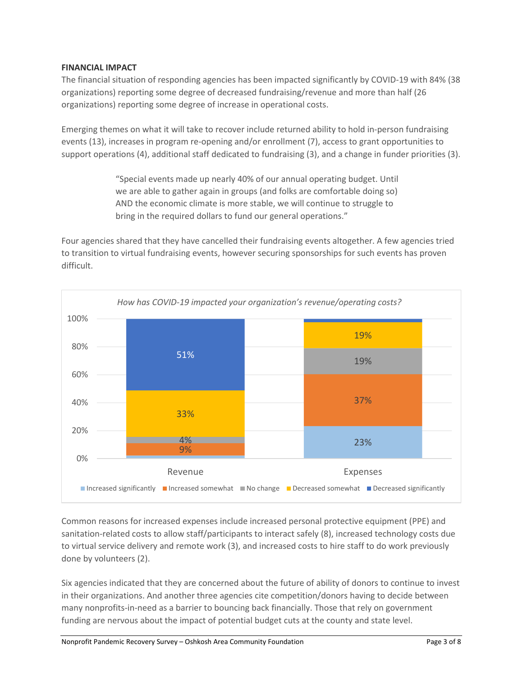# **FINANCIAL IMPACT**

The financial situation of responding agencies has been impacted significantly by COVID-19 with 84% (38 organizations) reporting some degree of decreased fundraising/revenue and more than half (26 organizations) reporting some degree of increase in operational costs.

Emerging themes on what it will take to recover include returned ability to hold in-person fundraising events (13), increases in program re-opening and/or enrollment (7), access to grant opportunities to support operations (4), additional staff dedicated to fundraising (3), and a change in funder priorities (3).

> "Special events made up nearly 40% of our annual operating budget. Until we are able to gather again in groups (and folks are comfortable doing so) AND the economic climate is more stable, we will continue to struggle to bring in the required dollars to fund our general operations."

Four agencies shared that they have cancelled their fundraising events altogether. A few agencies tried to transition to virtual fundraising events, however securing sponsorships for such events has proven difficult.



Common reasons for increased expenses include increased personal protective equipment (PPE) and sanitation-related costs to allow staff/participants to interact safely (8), increased technology costs due to virtual service delivery and remote work (3), and increased costs to hire staff to do work previously done by volunteers (2).

Six agencies indicated that they are concerned about the future of ability of donors to continue to invest in their organizations. And another three agencies cite competition/donors having to decide between many nonprofits-in-need as a barrier to bouncing back financially. Those that rely on government funding are nervous about the impact of potential budget cuts at the county and state level.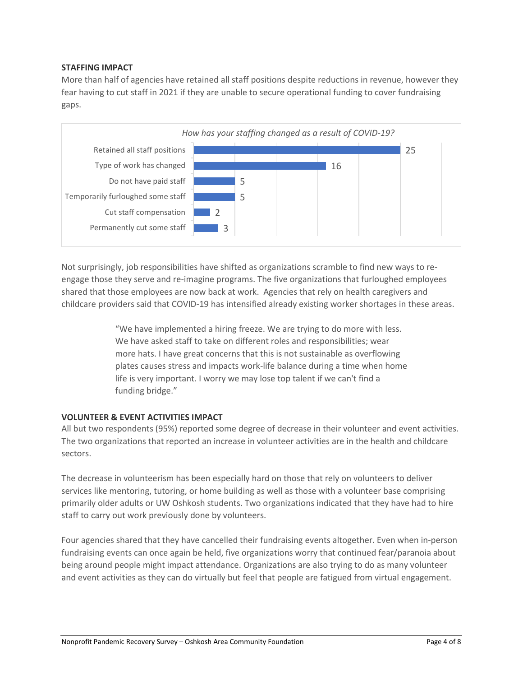# **STAFFING IMPACT**

More than half of agencies have retained all staff positions despite reductions in revenue, however they fear having to cut staff in 2021 if they are unable to secure operational funding to cover fundraising gaps.



Not surprisingly, job responsibilities have shifted as organizations scramble to find new ways to reengage those they serve and re-imagine programs. The five organizations that furloughed employees shared that those employees are now back at work. Agencies that rely on health caregivers and childcare providers said that COVID-19 has intensified already existing worker shortages in these areas.

> "We have implemented a hiring freeze. We are trying to do more with less. We have asked staff to take on different roles and responsibilities; wear more hats. I have great concerns that this is not sustainable as overflowing plates causes stress and impacts work-life balance during a time when home life is very important. I worry we may lose top talent if we can't find a funding bridge."

#### **VOLUNTEER & EVENT ACTIVITIES IMPACT**

All but two respondents (95%) reported some degree of decrease in their volunteer and event activities. The two organizations that reported an increase in volunteer activities are in the health and childcare sectors.

The decrease in volunteerism has been especially hard on those that rely on volunteers to deliver services like mentoring, tutoring, or home building as well as those with a volunteer base comprising primarily older adults or UW Oshkosh students. Two organizations indicated that they have had to hire staff to carry out work previously done by volunteers.

Four agencies shared that they have cancelled their fundraising events altogether. Even when in-person fundraising events can once again be held, five organizations worry that continued fear/paranoia about being around people might impact attendance. Organizations are also trying to do as many volunteer and event activities as they can do virtually but feel that people are fatigued from virtual engagement.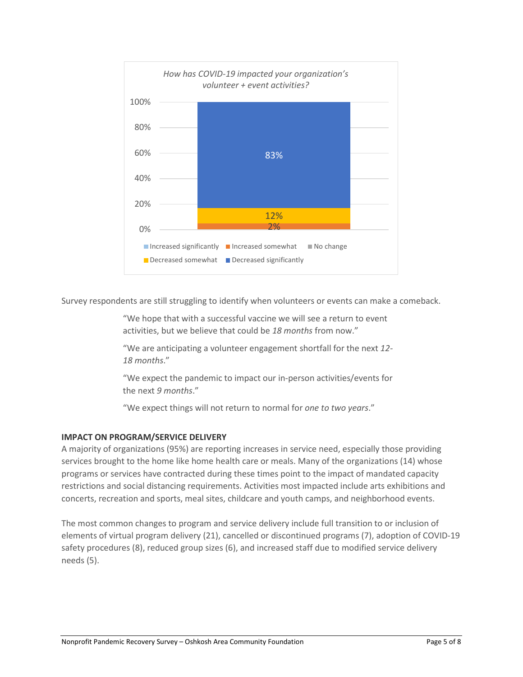

Survey respondents are still struggling to identify when volunteers or events can make a comeback.

"We hope that with a successful vaccine we will see a return to event activities, but we believe that could be *18 months* from now."

"We are anticipating a volunteer engagement shortfall for the next *12- 18 months*."

"We expect the pandemic to impact our in-person activities/events for the next *9 months*."

"We expect things will not return to normal for *one to two years*."

# **IMPACT ON PROGRAM/SERVICE DELIVERY**

A majority of organizations (95%) are reporting increases in service need, especially those providing services brought to the home like home health care or meals. Many of the organizations (14) whose programs or services have contracted during these times point to the impact of mandated capacity restrictions and social distancing requirements. Activities most impacted include arts exhibitions and concerts, recreation and sports, meal sites, childcare and youth camps, and neighborhood events.

The most common changes to program and service delivery include full transition to or inclusion of elements of virtual program delivery (21), cancelled or discontinued programs (7), adoption of COVID-19 safety procedures (8), reduced group sizes (6), and increased staff due to modified service delivery needs (5).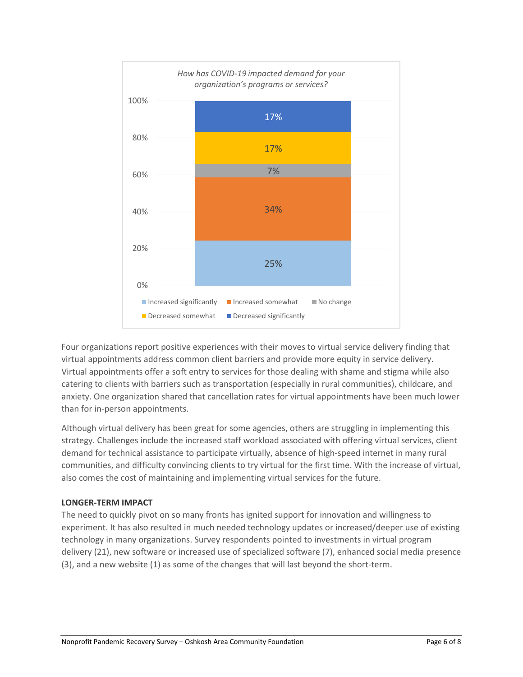

Four organizations report positive experiences with their moves to virtual service delivery finding that virtual appointments address common client barriers and provide more equity in service delivery. Virtual appointments offer a soft entry to services for those dealing with shame and stigma while also catering to clients with barriers such as transportation (especially in rural communities), childcare, and anxiety. One organization shared that cancellation rates for virtual appointments have been much lower than for in-person appointments.

Although virtual delivery has been great for some agencies, others are struggling in implementing this strategy. Challenges include the increased staff workload associated with offering virtual services, client demand for technical assistance to participate virtually, absence of high-speed internet in many rural communities, and difficulty convincing clients to try virtual for the first time. With the increase of virtual, also comes the cost of maintaining and implementing virtual services for the future.

# **LONGER-TERM IMPACT**

The need to quickly pivot on so many fronts has ignited support for innovation and willingness to experiment. It has also resulted in much needed technology updates or increased/deeper use of existing technology in many organizations. Survey respondents pointed to investments in virtual program delivery (21), new software or increased use of specialized software (7), enhanced social media presence (3), and a new website (1) as some of the changes that will last beyond the short-term.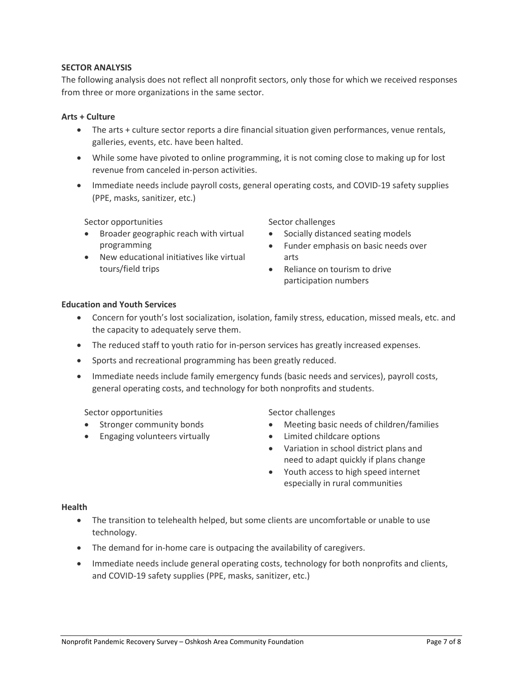## **SECTOR ANALYSIS**

The following analysis does not reflect all nonprofit sectors, only those for which we received responses from three or more organizations in the same sector.

## **Arts + Culture**

- The arts + culture sector reports a dire financial situation given performances, venue rentals, galleries, events, etc. have been halted.
- While some have pivoted to online programming, it is not coming close to making up for lost revenue from canceled in-person activities.
- Immediate needs include payroll costs, general operating costs, and COVID-19 safety supplies (PPE, masks, sanitizer, etc.)

Sector opportunities

- Broader geographic reach with virtual programming
- New educational initiatives like virtual tours/field trips

Sector challenges

- Socially distanced seating models
- Funder emphasis on basic needs over arts
- Reliance on tourism to drive participation numbers

# **Education and Youth Services**

- Concern for youth's lost socialization, isolation, family stress, education, missed meals, etc. and the capacity to adequately serve them.
- The reduced staff to youth ratio for in-person services has greatly increased expenses.
- Sports and recreational programming has been greatly reduced.
- Immediate needs include family emergency funds (basic needs and services), payroll costs, general operating costs, and technology for both nonprofits and students.

Sector opportunities

- Stronger community bonds
- Engaging volunteers virtually

Sector challenges

- Meeting basic needs of children/families
- Limited childcare options
- Variation in school district plans and need to adapt quickly if plans change
- Youth access to high speed internet especially in rural communities

#### **Health**

- The transition to telehealth helped, but some clients are uncomfortable or unable to use technology.
- The demand for in-home care is outpacing the availability of caregivers.
- Immediate needs include general operating costs, technology for both nonprofits and clients, and COVID-19 safety supplies (PPE, masks, sanitizer, etc.)